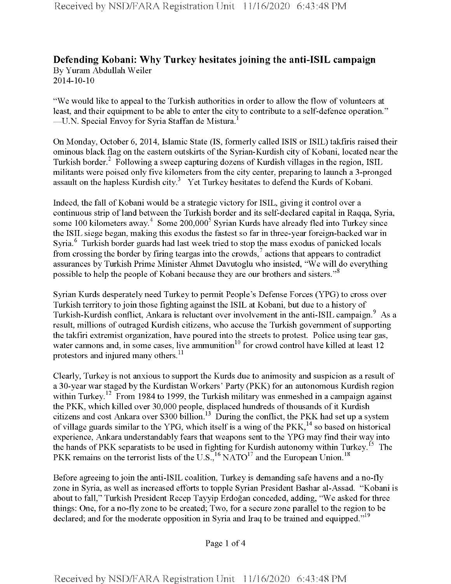## **Defending Kobani: Why Turkey hesitates joining the anti-ISIL campaign** By Yuram Abdullah Weiler

2014-10-10

"We would like to appeal to the Turkish authorities in order to allow the flow of volunteers at least, and their equipment to be able to enter the city to contribute to a self-defence operation." —U.N. Special Envoy for Syria Staffan de Mistura.<sup>1</sup>

On Monday, October 6, 2014, Islamic State (IS, formerly called ISIS or ISIL) takfiris raised their ominous black flag on the eastern outskirts of the Syrian-Kurdish city of Kobani, located near the Turkish border.<sup>2</sup> Following a sweep capturing dozens of Kurdish villages in the region, ISIL militants were poised only five kilometers from the city center, preparing to launch a 3-pronged assault on the hapless Kurdish city.<sup>3</sup> Yet Turkey hesitates to defend the Kurds of Kobani.

Indeed, the fall of Kobani would be a strategic victory for ISIL, giving it control over a continuous strip of land between the Turkish border and its self-declared capital in Raqqa, Syria, some 100 kilometers away.<sup>4</sup> Some 200,000<sup>5</sup> Syrian Kurds have already fled into Turkey since the ISIL siege began, making this exodus the fastest so far in three-year foreign-backed war in Syria.<sup>6</sup> Turkish border guards had last week tried to stop the mass exodus of panicked locals from crossing the border by firing teargas into the crowds,  $\frac{7}{1}$  actions that appears to contradict assurances by Turkish Prime Minister Ahmet Davutoglu who insisted, "We will do everything possible to help the people of Kobani because they are our brothers and sisters."<sup>8</sup>

Syrian Kurds desperately need Turkey to permit People's Defense Forces (YPG) to cross over Turkish territory to join those fighting against the ISIL at Kobani, but due to a history of Turkish-Kurdish conflict, Ankara is reluctant over involvement in the anti-ISIL campaign.<sup>9</sup> As a result, millions of outraged Kurdish citizens, who accuse the Turkish government of supporting the takfiri extremist organization, have poured into the streets to protest. Police using tear gas, water cannons and, in some cases, live ammunition<sup>10</sup> for crowd control have killed at least  $12$ protestors and injured many others.<sup>11</sup>

Clearly, Turkey is not anxious to support the Kurds due to animosity and suspicion as a result of a 30-year war staged by the Kurdistan Workers' Party (PKK) for an autonomous Kurdish region within Turkey.<sup>12</sup> From 1984 to 1999, the Turkish military was enmeshed in a campaign against the PKK, which killed over 30,000 people, displaced hundreds of thousands of it Kurdish citizens and cost Ankara over \$300 billion.13 During the conflict, the PKK had set up a system of village guards similar to the YPG, which itself is a wing of the  $PKK<sub>14</sub><sup>14</sup>$  so based on historical experience, Ankara understandably fears that weapons sent to the YPG may find their way into the hands of PKK separatists to be used in fighting for Kurdish autonomy within Turkey.<sup>15</sup> The PKK remains on the terrorist lists of the U.S.,<sup>16</sup> NATO<sup>17</sup> and the European Union.<sup>18</sup>

Before agreeing to join the anti-ISIL coalition, Turkey is demanding safe havens and a no-fly zone in Syria, as well as increased efforts to topple Syrian President Bashar al-Assad. "Kobani is about to fall," Turkish President Recep Tayyip Erdogan conceded, adding, "We asked for three things: One, for a no-fly zone to be created; Two, for a secure zone parallel to the region to be declared; and for the moderate opposition in Syria and Iraq to be trained and equipped."<sup>19</sup>

Page <sup>1</sup> of 4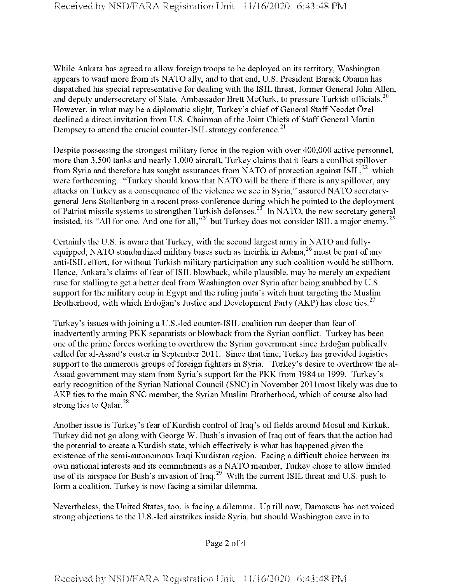While Ankara has agreed to allow foreign troops to be deployed on its territory, Washington appears to want more from its NATO ally, and to that end, U.S. President Barack Obama has dispatched his special representative for dealing with the ISIL threat, former General John Allen, and deputy undersecretary of State, Ambassador Brett McGurk, to pressure Turkish officials.<sup>20</sup> However, in what may be a diplomatic slight, Turkey's chief of General Staff Necdet Özel declined a direct invitation from U.S. Chairman of the Joint Chiefs of Staff General Martin Dempsey to attend the crucial counter-ISIL strategy conference.<sup>21</sup>

Despite possessing the strongest military force in the region with over 400,000 active personnel, more than 3,500 tanks and nearly 1,000 aircraft, Turkey claims that it fears a conflict spillover from Syria and therefore has sought assurances from NATO of protection against  $ISIL<sup>22</sup>$  which were forthcoming. "Turkey should know that NATO will be there if there is any spillover, any attacks on Turkey as a consequence of the violence we see in Syria," assured NATO secretarygeneral Jens Stoltenberg in a recent press conference during which he pointed to the deployment of Patriot missile systems to strengthen Turkish defenses.<sup>23</sup> In NATO, the new secretary general insisted, its "All for one. And one for all,"<sup>24</sup> but Turkey does not consider ISIL a major enemy.<sup>25</sup>

Certainly the U.S. is aware that Turkey, with the second largest army in NATO and fullyequipped, NATO standardized military bases such as Incirlik in Adana,<sup>26</sup> must be part of any anti-ISIL effort, for without Turkish military participation any such coalition would be stillborn. Hence, Ankara's claims of fear of ISIL blowback, while plausible, may be merely an expedient ruse for stalling to get a better deal from Washington over Syria after being snubbed by U.S. support for the military coup in Egypt and the ruling junta's witch hunt targeting the Muslim Brotherhood, with which Erdoğan's Justice and Development Party (AKP) has close ties.<sup>27</sup>

Turkey's issues with joining a U.S.-led counter-ISIL coalition run deeper than fear of inadvertently arming PKK separatists or blowback from the Syrian conflict. Turkey has been one ofthe prime forces working to overthrow the Syrian government since Erdogan publically called for al-Assad's ouster in September 2011. Since that time, Turkey has provided logistics support to the numerous groups of foreign fighters in Syria. Turkey's desire to overthrow the al-Assad government may stem from Syria's support for the PKK from 1984 to 1999. Turkey's early recognition of the Syrian National Council (SNC) in November 2011 most likely was due to AKP ties to the main SNC member, the Syrian Muslim Brotherhood, which of course also had strong ties to  $\text{O}atar.^{28}$ 

Another issue is Turkey's fear of Kurdish control of Iraq's oil fields around Mosul and Kirkuk. Turkey did not go along with George W. Bush's invasion of Iraq out of fears that the action had the potential to create a Kurdish state, which effectively is what has happened given the existence of the semi-autonomous Iraqi Kurdistan region. Facing a difficult choice between its own national interests and its commitments as a NATO member, Turkey chose to allow limited use of its airspace for Bush's invasion of Iraq.<sup>29</sup> With the current ISIL threat and U.S. push to form a coalition, Turkey is now facing a similar dilemma.

Nevertheless, the United States, too, is facing a dilemma. Up till now, Damascus has not voiced strong objections to the U.S.-led airstrikes inside Syria, but should Washington cave in to

Page 2 of 4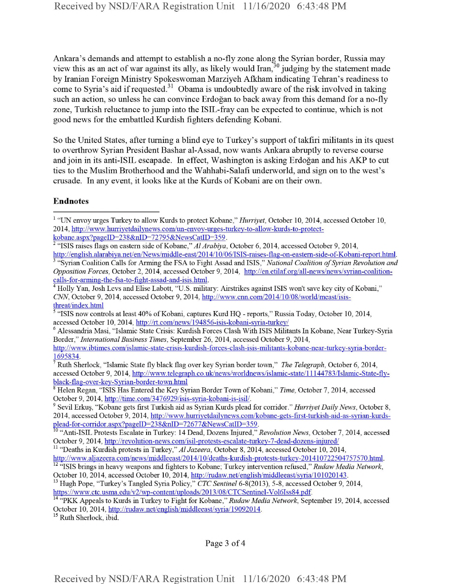Ankara's demands and attempt to establish a no-fly zone along the Syrian border, Russia may view this as an act of war against its ally, as likely would Iran,<sup>30</sup> judging by the statement made by Iranian Foreign Ministry Spokeswoman Marziyeh Afkham indicating Tehran's readiness to come to Syria's aid if requested.<sup>31</sup> Obama is undoubtedly aware of the risk involved in taking such an action, so unless he can convince Erdogan to back away from this demand for a no-fly zone, Turkish reluctance to jump into the ISIL-fray can be expected to continue, which is not good news for the embattled Kurdish fighters defending Kobani.

So the United States, after turning a blind eye to Turkey's support of takfiri militants in its quest to overthrow Syrian President Bashar al-Assad, now wants Ankara abruptly to reverse course and join in its anti-ISIL escapade. In effect, Washington is asking Erdogan and his AKP to cut ties to the Muslim Brotherhood and the Wahhabi-Salafi underworld, and sign on to the west's crusade. In any event, it looks like at the Kurds of Kobani are on their own.

## Endnotes

http://www.ibtimes.com/islamic-state-crisis-kurdish-forces-clash-isis-militants-kobane-near-turkev-syria-border-1695834.

7 Ruth Sherlock, "Islamic State fly black flag over key Syrian border town," *The Telegraph,* October 6, 2014, accessed October 9, 2014, http://www.telegraph.co.uk/news/worldnews/islamic-state/11144783/Islamic-State-flyblack-flag-over-key-Svrian-border-town.html

<sup>9</sup> Sevil Erkuy "Kobane gets first Turkish aid as Syrian Kurds plead for corridor." *Hurriyet Daily News,* October 8, 2014, accessed October 9, 2014, http://www.hurrivetdailynews.com/kobane-gets-first-turkish-aid-as-svrian-kurdsplead-for-corridor.aspx?pageID=238&nID=72677&NewsCatID=359.

<sup>1</sup> "UN envoy urges Turkey to allow Kurds to protect Kobane," *Hurriyet*, October 10, 2014, accessed October 10, 2014, http://www.hurriyetdailvnews.com/un-envov-urges-turkev-to-allow-kurds-to-protectkobane.aspx?pageID=238&nID=72795&NewsCatID=359.

<sup>&</sup>lt;sup>2</sup> "ISIS raises flags on eastern side of Kobane," Al Arabiya, October 6, 2014, accessed October 9, 2014, http://english.alarabiva.net/en/News/middle-east/2014/10/06/ISIS-raises-flag-on-eastem-side-of-Kobani-report.html.

<sup>3</sup> "Syrian Coalition Calls for Arming the FSA to Fight Assad and ISIS," *National Coalition ofSyrian Revolution and Opposition Forces, October 2, 2014, accessed October 9, 2014, http://en.etilaf.org/all-news/news/syrian-coalition*calls-for-armmg-the-fsa-to-fight-assad-and-isis.html.

<sup>4</sup> Holly Yan, Josh Levs and Elise Labott, "U.S. military: Airstrikes against ISIS won't save key city ofKobani," *CNN,* October 9, 2014, accessed October 9, 2014, http://www.cnn.com/2014/10/08/world/meast/isisthreat/index.html

<sup>&</sup>lt;sup>5</sup> "ISIS now controls at least 40% of Kobani, captures Kurd HQ - reports," Russia Today, October 10, 2014, accessed October 10, 2014, http://rt.com/news/194856-isis-kobani-svria-turkey/

<sup>6</sup> Alessandria Masi, "Islamic State Crisis: Kurdish Forces Clash With ISIS Militants In Kobane, Near Turkey-Syria Border," *InternationalBusiness Times,* September 26, 2014, accessed October 9, 2014,

<sup>&</sup>lt;sup>8</sup> Helen Regan, "ISIS Has Entered the Key Syrian Border Town of Kobani," *Time*, October 7, 2014, accessed October 9, 2014, http://time.com/3476929/isis-syria-kobani-is-isil/.

<sup>10</sup> "Anti-ISIL Protests Escalate in Turkey: 14 Dead, Dozens Injured," *Revolution News,* October 7, 2014, accessed October 9, 2014, http://revolution-news.com/isil-protests-escalate-turkey-7-dead-dozens-injured/

<sup>11</sup> "Deaths in Kurdish protests in Turkey," *Al Jazeera,* October 8, 2014, accessed October 10, 2014, http://www.aliazeera.com/news/middleeast/2014/10/deaths-kurdish-protests-turkev-201410722504757570.html.

<sup>12</sup> "ISIS brings in heavy weapons and fighters to Kobane; Turkey intervention refused," *Rudaw Media Network,* October 10, 2014, accessed October 10, 2014, http://rudaw.net/english/middleeast/syria/101020143.

<sup>&</sup>lt;sup>13</sup> Hugh Pope, "Turkey's Tangled Syria Policy," *CTC Sentinel* 6-8(2013), 5-8, accessed October 9, 2014, https://www.ctc.usma.edu/v2/wp-content/uploads/2013/08/CTCSentinel-Vol6Iss84.pdf.

<sup>14</sup> "pkk Appeals to Kurds in Turkey to Fight for Kobane," *Rudaw Media Network,* September 19, 2014, accessed October 10, 2014, http://rudaw.net/english/middleeast/svria/19092014.

<sup>&</sup>lt;sup>15</sup> Ruth Sherlock, ibid.